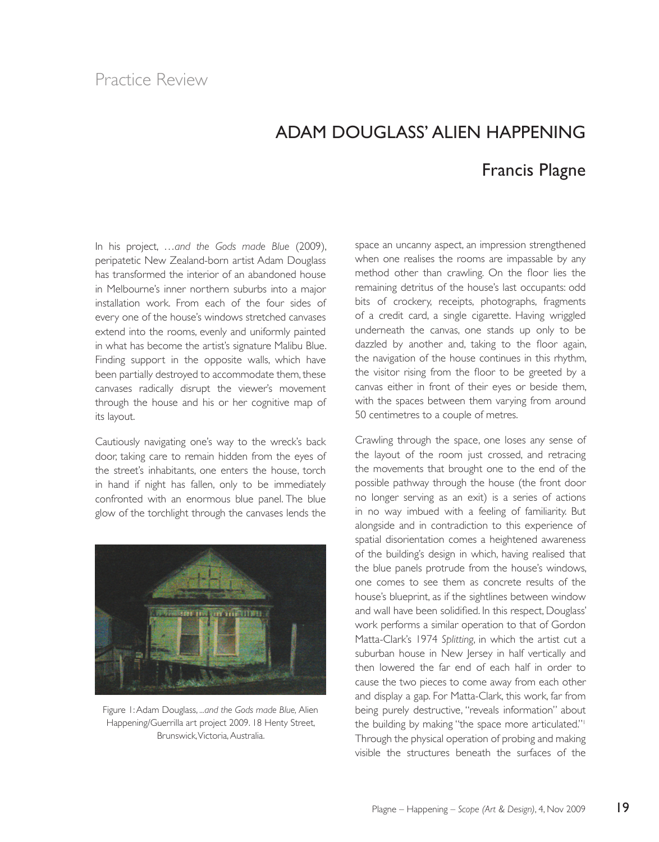## ADAM DOUGLASS' ALIEN HAPPENING Francis Plagne

In his project, …*and the Gods made Blue* (2009), peripatetic New Zealand-born artist Adam Douglass has transformed the interior of an abandoned house in Melbourne's inner northern suburbs into a major installation work. From each of the four sides of every one of the house's windows stretched canvases extend into the rooms, evenly and uniformly painted in what has become the artist's signature Malibu Blue. Finding support in the opposite walls, which have been partially destroyed to accommodate them, these canvases radically disrupt the viewer's movement through the house and his or her cognitive map of its layout.

Cautiously navigating one's way to the wreck's back door, taking care to remain hidden from the eyes of the street's inhabitants, one enters the house, torch in hand if night has fallen, only to be immediately confronted with an enormous blue panel. The blue glow of the torchlight through the canvases lends the



Figure 1: Adam Douglass, *...and the Gods made Blue,* Alien Happening/Guerrilla art project 2009. 18 Henty Street, Brunswick, Victoria, Australia.

space an uncanny aspect, an impression strengthened when one realises the rooms are impassable by any method other than crawling. On the floor lies the remaining detritus of the house's last occupants: odd bits of crockery, receipts, photographs, fragments of a credit card, a single cigarette. Having wriggled underneath the canvas, one stands up only to be dazzled by another and, taking to the floor again, the navigation of the house continues in this rhythm, the visitor rising from the floor to be greeted by a canvas either in front of their eyes or beside them, with the spaces between them varying from around 50 centimetres to a couple of metres.

Crawling through the space, one loses any sense of the layout of the room just crossed, and retracing the movements that brought one to the end of the possible pathway through the house (the front door no longer serving as an exit) is a series of actions in no way imbued with a feeling of familiarity. But alongside and in contradiction to this experience of spatial disorientation comes a heightened awareness of the building's design in which, having realised that the blue panels protrude from the house's windows, one comes to see them as concrete results of the house's blueprint, as if the sightlines between window and wall have been solidified. In this respect, Douglass' work performs a similar operation to that of Gordon Matta-Clark's 1974 *Splitting*, in which the artist cut a suburban house in New Jersey in half vertically and then lowered the far end of each half in order to cause the two pieces to come away from each other and display a gap. For Matta-Clark, this work, far from being purely destructive, "reveals information" about the building by making "the space more articulated."<sup>1</sup> Through the physical operation of probing and making visible the structures beneath the surfaces of the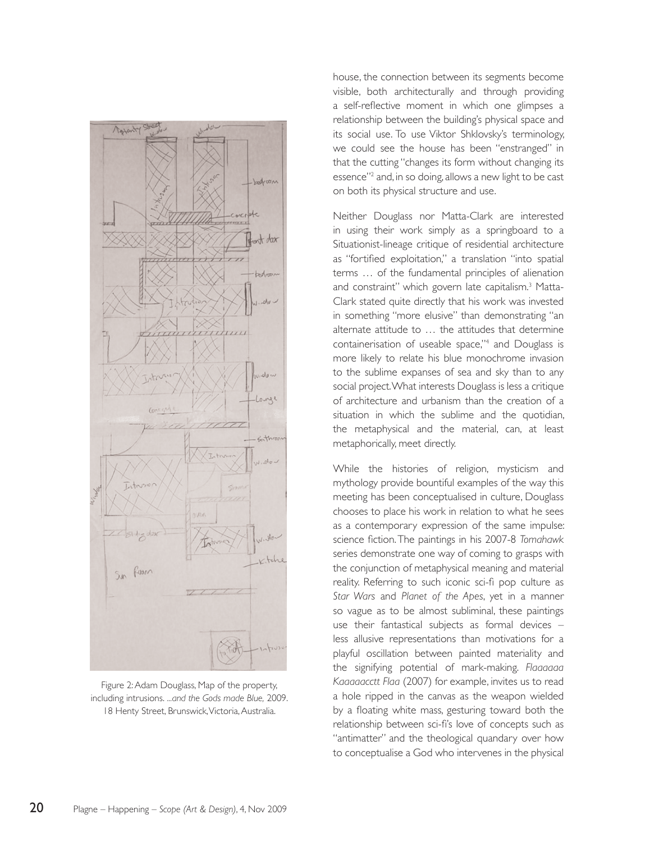

Figure 2: Adam Douglass, Map of the property, including intrusions. *...and the Gods made Blue,* 2009. 18 Henty Street, Brunswick, Victoria, Australia.

house, the connection between its segments become visible, both architecturally and through providing a self-reflective moment in which one glimpses a relationship between the building's physical space and its social use. To use Viktor Shklovsky's terminology, we could see the house has been "enstranged" in that the cutting "changes its form without changing its essence"<sup>2</sup> and, in so doing, allows a new light to be cast on both its physical structure and use.

Neither Douglass nor Matta-Clark are interested in using their work simply as a springboard to a Situationist-lineage critique of residential architecture as "fortified exploitation," a translation "into spatial terms … of the fundamental principles of alienation and constraint" which govern late capitalism.<sup>3</sup> Matta-Clark stated quite directly that his work was invested in something "more elusive" than demonstrating "an alternate attitude to … the attitudes that determine containerisation of useable space,"4 and Douglass is more likely to relate his blue monochrome invasion to the sublime expanses of sea and sky than to any social project. What interests Douglass is less a critique of architecture and urbanism than the creation of a situation in which the sublime and the quotidian. the metaphysical and the material, can, at least metaphorically, meet directly.

While the histories of religion, mysticism and mythology provide bountiful examples of the way this meeting has been conceptualised in culture, Douglass chooses to place his work in relation to what he sees as a contemporary expression of the same impulse: science fiction. The paintings in his 2007-8 *Tomahawk* series demonstrate one way of coming to grasps with the conjunction of metaphysical meaning and material reality. Referring to such iconic sci-fi pop culture as *Star Wars* and *Planet of the Apes*, yet in a manner so vague as to be almost subliminal, these paintings use their fantastical subjects as formal devices – less allusive representations than motivations for a playful oscillation between painted materiality and the signifying potential of mark-making. *Flaaaaaa Kaaaaacctt Flaa* (2007) for example, invites us to read a hole ripped in the canvas as the weapon wielded by a floating white mass, gesturing toward both the relationship between sci-fi's love of concepts such as "antimatter" and the theological quandary over how to conceptualise a God who intervenes in the physical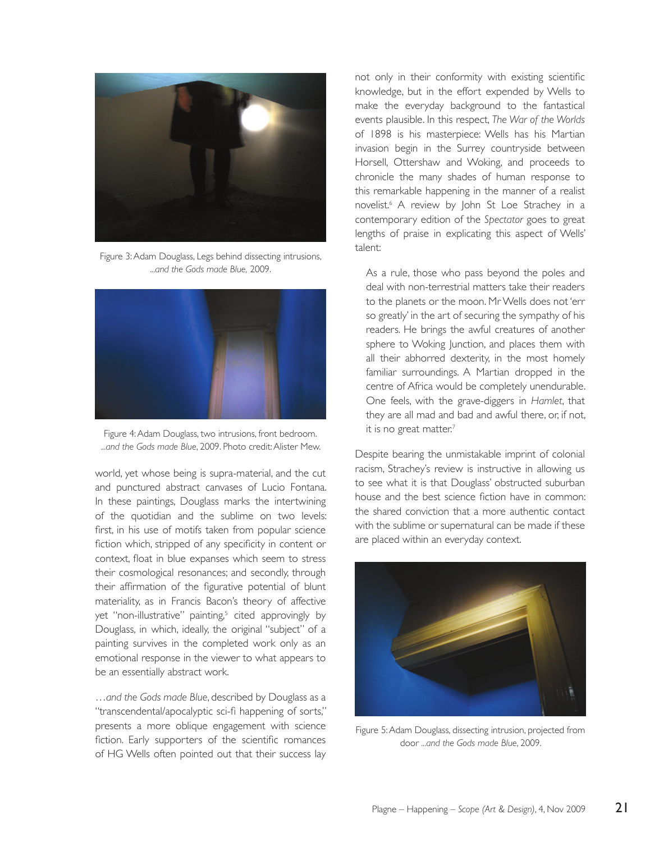

Figure 3: Adam Douglass, Legs behind dissecting intrusions, *...and the Gods made Blue,* 2009.



Figure 4: Adam Douglass, two intrusions, front bedroom. *...and the Gods made Blue*, 2009. Photo credit: Alister Mew.

world, yet whose being is supra-material, and the cut and punctured abstract canvases of Lucio Fontana. In these paintings, Douglass marks the intertwining of the quotidian and the sublime on two levels: first, in his use of motifs taken from popular science fiction which, stripped of any specificity in content or context, float in blue expanses which seem to stress their cosmological resonances; and secondly, through their affirmation of the figurative potential of blunt materiality, as in Francis Bacon's theory of affective yet "non-illustrative" painting,<sup>5</sup> cited approvingly by Douglass, in which, ideally, the original "subject" of a painting survives in the completed work only as an emotional response in the viewer to what appears to be an essentially abstract work.

…*and the Gods made Blue*, described by Douglass as a "transcendental/apocalyptic sci-fi happening of sorts," presents a more oblique engagement with science fiction. Early supporters of the scientific romances of HG Wells often pointed out that their success lay not only in their conformity with existing scientific knowledge, but in the effort expended by Wells to make the everyday background to the fantastical events plausible. In this respect, *The War of the Worlds* of 1898 is his masterpiece: Wells has his Martian invasion begin in the Surrey countryside between Horsell, Ottershaw and Woking, and proceeds to chronicle the many shades of human response to this remarkable happening in the manner of a realist novelist.6 A review by John St Loe Strachey in a contemporary edition of the *Spectator* goes to great lengths of praise in explicating this aspect of Wells' talent:

As a rule, those who pass beyond the poles and deal with non-terrestrial matters take their readers to the planets or the moon. Mr Wells does not 'err so greatly' in the art of securing the sympathy of his readers. He brings the awful creatures of another sphere to Woking Junction, and places them with all their abhorred dexterity, in the most homely familiar surroundings. A Martian dropped in the centre of Africa would be completely unendurable. One feels, with the grave-diggers in *Hamlet*, that they are all mad and bad and awful there, or, if not, it is no great matter.<sup>7</sup>

Despite bearing the unmistakable imprint of colonial racism, Strachey's review is instructive in allowing us to see what it is that Douglass' obstructed suburban house and the best science fiction have in common: the shared conviction that a more authentic contact with the sublime or supernatural can be made if these are placed within an everyday context.



Figure 5: Adam Douglass, dissecting intrusion, projected from door *...and the Gods made Blue*, 2009.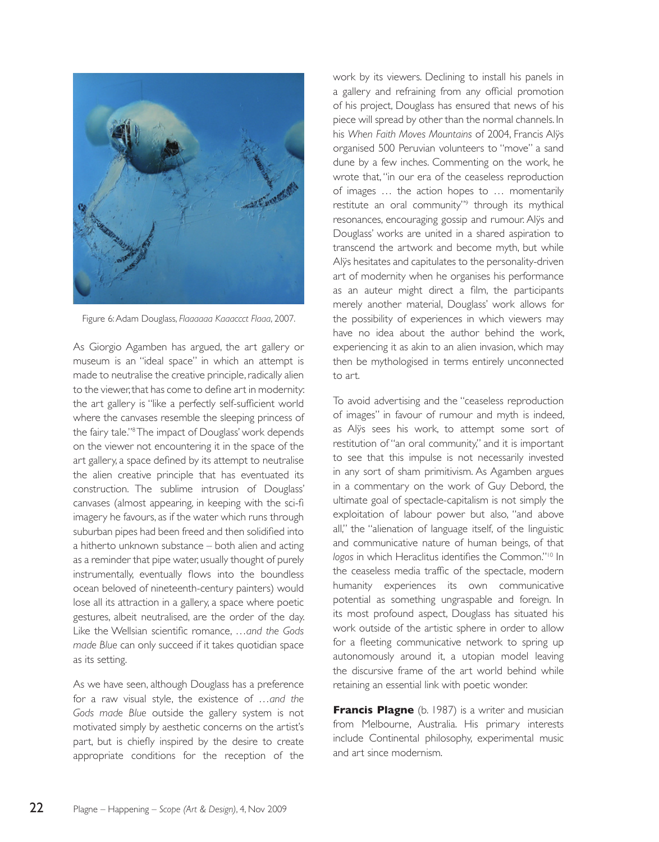

Figure 6: Adam Douglass, *Flaaaaaa Kaaaccct Flaaa*, 2007.

As Giorgio Agamben has argued, the art gallery or museum is an "ideal space" in which an attempt is made to neutralise the creative principle, radically alien to the viewer, that has come to define art in modernity: the art gallery is "like a perfectly self-sufficient world where the canvases resemble the sleeping princess of the fairy tale."8 The impact of Douglass' work depends on the viewer not encountering it in the space of the art gallery, a space defined by its attempt to neutralise the alien creative principle that has eventuated its construction. The sublime intrusion of Douglass' canvases (almost appearing, in keeping with the sci-fi imagery he favours, as if the water which runs through suburban pipes had been freed and then solidified into a hitherto unknown substance – both alien and acting as a reminder that pipe water, usually thought of purely instrumentally, eventually flows into the boundless ocean beloved of nineteenth-century painters) would lose all its attraction in a gallery, a space where poetic gestures, albeit neutralised, are the order of the day. Like the Wellsian scientific romance, …*and the Gods made Blue* can only succeed if it takes quotidian space as its setting.

As we have seen, although Douglass has a preference for a raw visual style, the existence of …*and the Gods made Blue* outside the gallery system is not motivated simply by aesthetic concerns on the artist's part, but is chiefly inspired by the desire to create appropriate conditions for the reception of the work by its viewers. Declining to install his panels in a gallery and refraining from any official promotion of his project, Douglass has ensured that news of his piece will spread by other than the normal channels. In his *When Faith Moves Mountains* of 2004, Francis Alÿs organised 500 Peruvian volunteers to "move" a sand dune by a few inches. Commenting on the work, he wrote that, "in our era of the ceaseless reproduction of images … the action hopes to … momentarily restitute an oral community"<sup>9</sup> through its mythical resonances, encouraging gossip and rumour. Alÿs and Douglass' works are united in a shared aspiration to transcend the artwork and become myth, but while Alÿs hesitates and capitulates to the personality-driven art of modernity when he organises his performance as an auteur might direct a film, the participants merely another material, Douglass' work allows for the possibility of experiences in which viewers may have no idea about the author behind the work, experiencing it as akin to an alien invasion, which may then be mythologised in terms entirely unconnected to art.

To avoid advertising and the "ceaseless reproduction of images" in favour of rumour and myth is indeed, as Alÿs sees his work, to attempt some sort of restitution of "an oral community," and it is important to see that this impulse is not necessarily invested in any sort of sham primitivism. As Agamben argues in a commentary on the work of Guy Debord, the ultimate goal of spectacle-capitalism is not simply the exploitation of labour power but also, "and above all," the "alienation of language itself, of the linguistic and communicative nature of human beings, of that *logos* in which Heraclitus identifies the Common."10 In the ceaseless media traffic of the spectacle, modern humanity experiences its own communicative potential as something ungraspable and foreign. In its most profound aspect, Douglass has situated his work outside of the artistic sphere in order to allow for a fleeting communicative network to spring up autonomously around it, a utopian model leaving the discursive frame of the art world behind while retaining an essential link with poetic wonder.

**Francis Plagne** (b. 1987) is a writer and musician from Melbourne, Australia. His primary interests include Continental philosophy, experimental music and art since modernism.